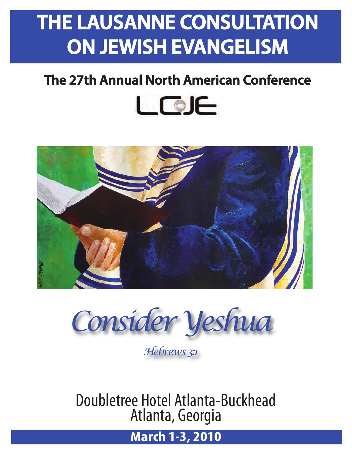# **THE LAUSANNE CONSULTATION ON JEWISH EVANGELISM**

# **The 27th Annual North American Conference**





*Consider Yeshua*

*Hebrews 3:1*

Doubletree Hotel Atlanta-Buckhead Atlanta, Georgia

**March 1-3, 2010**